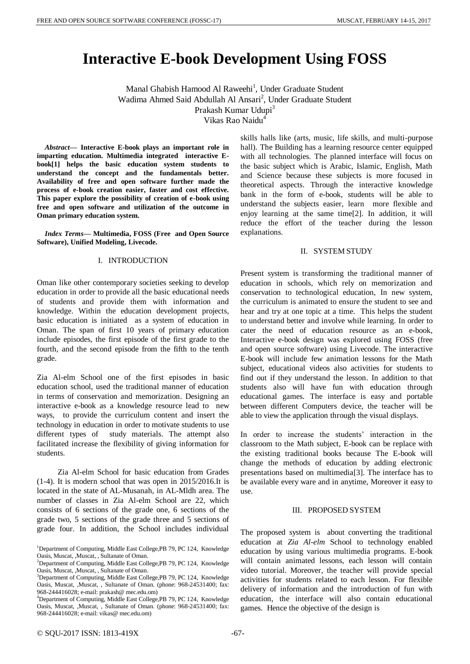# **Interactive E-book Development Using FOSS**

Manal Ghabish Hamood Al Raweehi<sup>1</sup>, Under Graduate Student Wadima Ahmed Said Abdullah Al Ansari<sup>2</sup>, Under Graduate Student Prakash Kumar Udupi<sup>3</sup> Vikas Rao Naidu<sup>4</sup>

*Abstract***— Interactive E-book plays an important role in imparting education. Multimedia integrated interactive Ebook[1] helps the basic education system students to understand the concept and the fundamentals better. Availability of free and open software further made the process of e-book creation easier, faster and cost effective. This paper explore the possibility of creation of e-book using free and open software and utilization of the outcome in Oman primary education system.** 

*Index Terms***— Multimedia, FOSS (Free and Open Source Software), Unified Modeling, Livecode.**

#### I. INTRODUCTION

Oman like other contemporary societies seeking to develop education in order to provide all the basic educational needs of students and provide them with information and knowledge. Within the education development projects, basic education is initiated as a system of education in Oman. The span of first 10 years of primary education include episodes, the first episode of the first grade to the fourth, and the second episode from the fifth to the tenth grade.

Zia Al-elm School one of the first episodes in basic education school, used the traditional manner of education in terms of conservation and memorization. Designing an interactive e-book as a knowledge resource lead to new ways, to provide the curriculum content and insert the technology in education in order to motivate students to use different types of study materials. The attempt also facilitated increase the flexibility of giving information for students.

 Zia Al-elm School for basic education from Grades (1-4). It is modern school that was open in 2015/2016.It is located in the state of AL-Musanah, in AL-Mldh area. The number of classes in Zia Al-elm School are 22, which consists of 6 sections of the grade one, 6 sections of the grade two, 5 sections of the grade three and 5 sections of grade four. In addition, the School includes individual

<sup>4</sup>Department of Computing, Middle East College,PB 79, PC 124, Knowledge Oasis, Muscat, ,Muscat, , Sultanate of Oman. (phone: 968-24531400; fax: 968-244416028; e-mail: vikas@ mec.edu.om)

skills halls like (arts, music, life skills, and multi-purpose hall). The Building has a learning resource center equipped with all technologies. The planned interface will focus on the basic subject which is Arabic, Islamic, English, Math and Science because these subjects is more focused in theoretical aspects. Through the interactive knowledge bank in the form of e-book, students will be able to understand the subjects easier, learn more flexible and enjoy learning at the same time[2]. In addition, it will reduce the effort of the teacher during the lesson explanations.

#### II. SYSTEM STUDY

Present system is transforming the traditional manner of education in schools, which rely on memorization and conservation to technological education, In new system, the curriculum is animated to ensure the student to see and hear and try at one topic at a time. This helps the student to understand better and involve while learning. In order to cater the need of education resource as an e-book, Interactive e-book design was explored using FOSS (free and open source software) using Livecode. The interactive E-book will include few animation lessons for the Math subject, educational videos also activities for students to find out if they understand the lesson. In addition to that students also will have fun with education through educational games. The interface is easy and portable between different Computers device, the teacher will be able to view the application through the visual displays.

In order to increase the students' interaction in the classroom to the Math subject, E-book can be replace with the existing traditional books because The E-book will change the methods of education by adding electronic presentations based on multimedia[3]. The interface has to be available every ware and in anytime, Moreover it easy to use.

### III. PROPOSED SYSTEM

The proposed system is about converting the traditional education at *Zia Al-elm* School to technology enabled education by using various multimedia programs. E-book will contain animated lessons, each lesson will contain video tutorial. Moreover, the teacher will provide special activities for students related to each lesson. For flexible delivery of information and the introduction of fun with education, the interface will also contain educational games. Hence the objective of the design is

<sup>&</sup>lt;sup>1</sup>Department of Computing, Middle East College, PB 79, PC 124, Knowledge Oasis, Muscat, , Muscat, , Sultanate of Oman.

<sup>&</sup>lt;sup>2</sup>Department of Computing, Middle East College, PB 79, PC 124, Knowledge Oasis, Muscat, , Muscat, , Sultanate of Oman.

<sup>&</sup>lt;sup>3</sup>Department of Computing, Middle East College, PB 79, PC 124, Knowledge Oasis, Muscat, ,Muscat, , Sultanate of Oman. (phone: 968-24531400; fax: 968-244416028; e-mail: prakash@ mec.edu.om)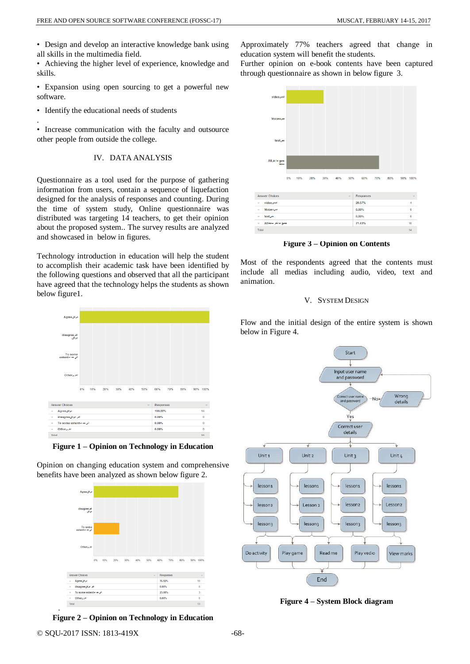• Design and develop an interactive knowledge bank using all skills in the multimedia field.

• Achieving the higher level of experience, knowledge and skills.

• Expansion using open sourcing to get a powerful new software.

• Identify the educational needs of students

.

• Increase communication with the faculty and outsource other people from outside the college.

## IV. DATA ANALYSIS

Questionnaire as a tool used for the purpose of gathering information from users, contain a sequence of liquefaction designed for the analysis of responses and counting. During the time of system study, Online questionnaire was distributed was targeting 14 teachers, to get their opinion about the proposed system.. The survey results are analyzed and showcased in below in figures.

Technology introduction in education will help the student to accomplish their academic task have been identified by the following questions and observed that all the participant have agreed that the technology helps the students as shown below figure1.



**Figure 1 – Opinion on Technology in Education**

Opinion on changing education system and comprehensive benefits have been analyzed as shown below figure 2.



**Figure 2 – Opinion on Technology in Education**

Approximately 77% teachers agreed that change in education system will benefit the students.

Further opinion on e-book contents have been captured through questionnaire as shown in below figure 3.



**Figure 3 – Opinion on Contents**

Most of the respondents agreed that the contents must include all medias including audio, video, text and animation.

## V. SYSTEM DESIGN

Flow and the initial design of the entire system is shown below in Figure 4.



**Figure 4 – System Block diagram**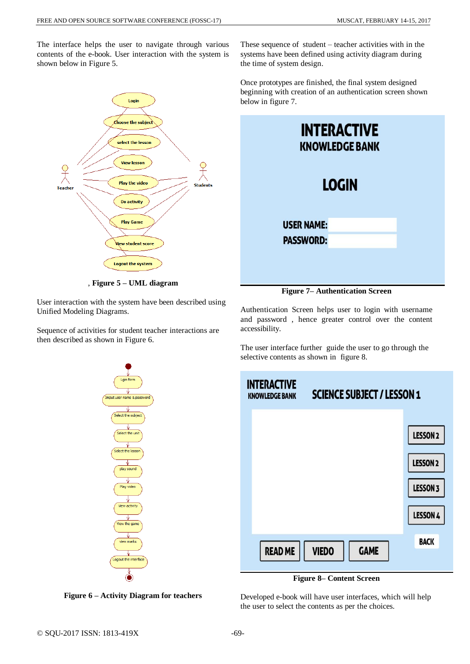The interface helps the user to navigate through various contents of the e-book. User interaction with the system is shown below in Figure 5.



, **Figure 5 – UML diagram**

User interaction with the system have been described using Unified Modeling Diagrams.

Sequence of activities for student teacher interactions are then described as shown in Figure 6.



Once prototypes are finished, the final system designed beginning with creation of an authentication screen shown below in figure 7.

| <b>INTERACTIVE</b><br><b>KNOWLEDGE BANK</b> |  |  |
|---------------------------------------------|--|--|
| <b>LOGIN</b>                                |  |  |
| <b>USER NAME:</b><br><b>PASSWORD:</b>       |  |  |

**Figure 7– Authentication Screen**

Authentication Screen helps user to login with username and password , hence greater control over the content accessibility.

The user interface further guide the user to go through the selective contents as shown in figure 8.



**Figure 8– Content Screen**

Developed e-book will have user interfaces, which will help the user to select the contents as per the choices.



**Figure 6 – Activity Diagram for teachers**